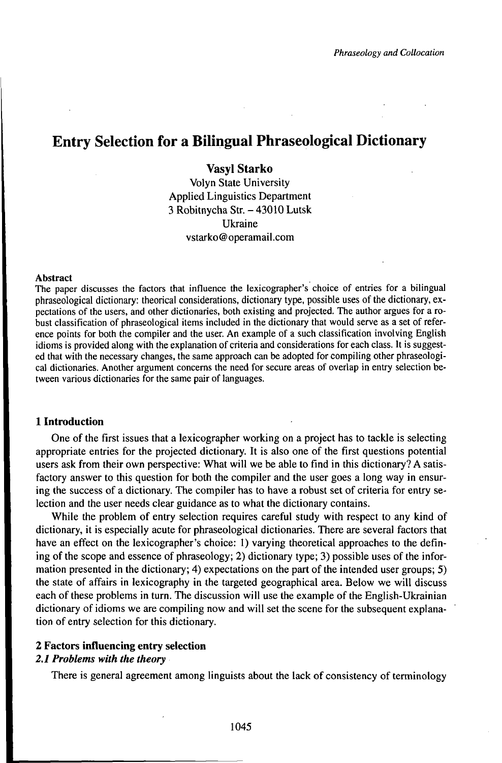# Entry Selection for a Bilingual Phraseological Dictionary

# Vasyl Starko

Volyn State University Applied Linguistics Department 3 Robitnycha Str. - 43010 Lutsk Ukraine vstarko@operamail.com

#### Abstract

The paper discusses the factors that influence the lexicographer's choice of entries for a bilingual phraseological dictionary: theorical considerations, dictionary type, possible uses of the dictionary, expectations of the users, and other dictionaries, both existing and projected. The author argues for a robust classification of phraseological items included in the dictionary that would serve as a set of reference points for both the compiler and the user. An example of a such classification involving English idioms is provided along with the explanation of criteria and considerations for each class. It is suggested that with the necessary changes, the same approach can be adopted for compiling other phraseological dictionaries. Another argument concerns the need for secure areas of overlap in entry selection between various dictionaries for the same pair of languages.

## **1 Introduction**

One of the first issues that a lexicographer working on a project has to tackle is selecting appropriate entries for the projected dictionary. It is also one of the first questions potential users ask from their own perspective: What will we be able to find in this dictionary? A satisfactory answer to this question for both the compiler and the user goes a long way in ensuring the success of a dictionary. The compiler has to have a robust set of criteria for entry selection and the user needs clear guidance as to what the dictionary contains.

While the problem of entry selection requires careful study with respect to any kind of dictionary, it is especially acute for phraseological dictionaries. There are several factors that have an effect on the lexicographer's choice: 1) varying theoretical approaches to the defining of the scope and essence of phraseology; 2) dictionary type; 3) possible uses of the information presented in the dictionary; 4) expectations on the part of the intended user groups; 5) the state of affairs in lexicography in the targeted geographical area. Below we will discuss each of these problems in turn. The discussion will use the example of the English-Ukrainian dictionary of idioms we are compiling now and will set the scene for the subsequent explanation of entry selection for this dictionary.

#### **2 Factors influencing entry selection**

# *2.1 Problems with the theory*

There is general agreement among linguists about the lack of consistency of terminology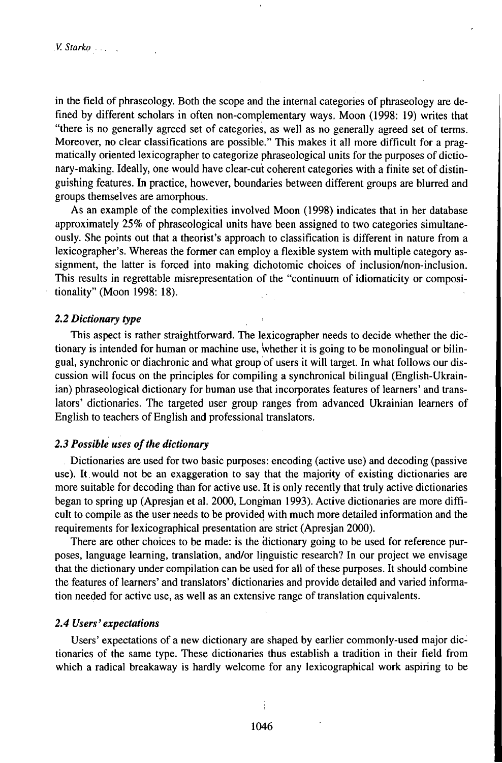in the field of phraseology. Both the scope and the internal categories of phraseology are defined by different scholars in often non-complementary ways. Moon (1998: 19) writes that "there is no generally agreed set of categories, as well as no generally agreed set of terms. Moreover, no clear classifications are possible." This makes it all more difficult for a pragmatically oriented lexicographer to categorize phraseological units for the purposes of dictionary-making. Ideally, one would have clear-cut coherent categories with a finite set of distinguishing features. In practice, however, boundaries between different groups are blurred and groups themselves are amorphous.

As an example of the complexities involved Moon (1998) indicates that in her database approximately 25% of phraseological units have been assigned to two categories simultaneously. She points out that a theorist's approach to classification is different in nature from a lexicographer's. Whereas the former can employ a flexible system with multiple category assignment, the latter is forced into making dichotomic choices of inclusion/non-inclusion. This results in regrettable misrepresentation of the "continuum of idiomaticity or compositionality" (Moon 1998: 18).

## *2.2 Dictionary type*

This aspect is rather straightforward. The lexicographer needs to decide whether the dictionary is intended for human or machine use, whether it is going to be monolingual or bilingual, synchronic or diachronic and what group of users it will target. In what follows our discussion will focus on the principles for compiling a synchronical bilingual (English-Ukrainian) phraseological dictionary for human use that incorporates features of learners' and translators' dictionaries. The targeted user group ranges from advanced Ukrainian learners of English to teachers of English and professional translators.

### *2.3 Possible uses ofthe dictionary*

Dictionaries are used for two basic purposes: encoding (active use) and decoding (passive use). Itwould not be an exaggeration to say that the majority of existing dictionaries are more suitable for decoding than for active use. It is only recently that truly active dictionaries began to spring up (Apresjan et al. 2000, Longman 1993). Active dictionaries are more difficult to compile as the user needs to be provided with much more detailed information and the requirements for lexicographical presentation are strict (Apresjan 2000).

There are other choices to be made: is the dictionary going to be used for reference purposes, language learning, translation, and/or linguistic research? In our project we envisage that the dictionary under compilation can be used for all of these purposes. It should combine the features of learners' and translators' dictionaries and provide detailed and varied information needed for active use, as well as an extensive range of translation equivalents.

#### *2.4Users'expectations*

Users' expectations of a new dictionary are shaped by earlier commonly-used major dictionaries of the same type. These dictionaries thus establish a tradition in their field from which a radical breakaway is hardly welcome for any lexicographical work aspiring to be

1046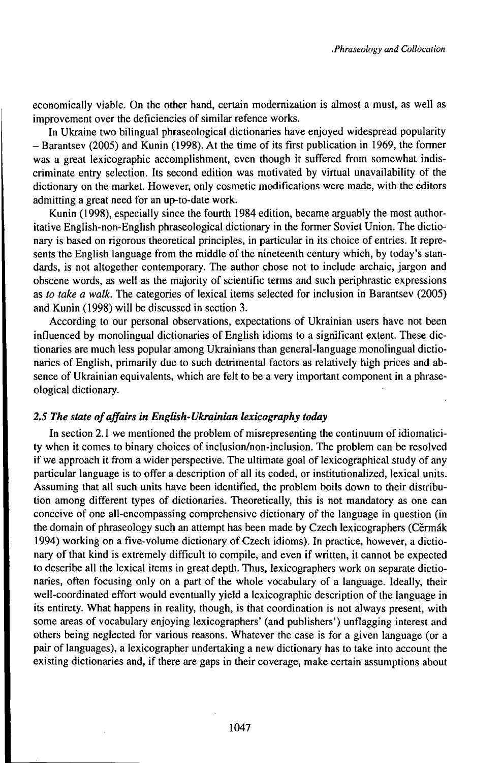economically viable. On the other hand, certain modernization is almost a must, as well as improvement over the deficiencies of similar refence works.

In Ukraine two bilingual phraseological dictionaries have enjoyed widespread popularity - Barantsev (2005) and Kunin (1998). At the time of its first publication in 1969, the former was a great lexicographic accomplishment, even though it suffered from somewhat indiscriminate entry selection. Its second edition was motivated by virtual unavailability of the dictionary on the market. However, only cosmetic modifications were made, with the editors admitting a great need for an up-to-date work.

Kunin (1998), especially since the fourth 1984 edition, became arguably the most authoritative English-non-English phraseological dictionary in the former Soviet Union. The dictionary is based on rigorous theoretical principles, in particular in its choice of entries. It represents the English language from the middle of the nineteenth century which, by today's standards, is not altogether contemporary. The author chose not to include archaic, jargon and obscene words, as well as the majority of scientific terms and such periphrastic expressions as *to take a walk.* The categories of lexical items selected for inclusion in Barantsev (2005) and Kunin (1998) will be discussed in section 3.

According to our personal observations, expectations of Ukrainian users have not been influenced by monolingual dictionaries of English idioms to a significant extent. These dictionaries are much less popular among Ukrainians than general-language monolingual dictionaries of English, primarily due to such detrimental factors as relatively high prices and absence of Ukrainian equivalents, which are felt to be a very important component in a phraseological dictionary.

# *2.5 The state ofajfairs in English-Ukrainian lexicography today*

In section  $2.1$  we mentioned the problem of misrepresenting the continuum of idiomaticity when it comes to binary choices of inclusion/non-inclusion. The problem can be resolved if we approach it from a wider perspective. The ultimate goal of lexicographical study of any particular language is to offer a description of all its coded, or institutionalized, lexical units. Assuming that all such units have been identified, the problem boils down to their distribution among different types of dictionaries. Theoretically, this is not mandatory as one can conceive of one all-encompassing comprehensive dictionary of the language in question (in the domain of phraseology such an attempt has been made by Czech lexicographers (Cěrmák 1994) working on a five-volume dictionary of Czech idioms). In practice, however, a dictionary of that kind is extremely difficult to compile, and even if written, it cannot be expected to describe all the lexical items in great depth. Thus, lexicographers work on separate dictionaries, often focusing only on a part of the whole vocabulary of a language. Ideally, their well-coordinated effort would eventually yield a lexicographic description ofthe language in its entirety. What happens in reality, though, is that coordination is not always present, with some areas of vocabulary enjoying lexicographers' (and publishers') unflagging interest and others being neglected for various reasons. Whatever the case is for a given language (or a pair of languages), a lexicographer undertaking a new dictionary has to take into account the existing dictionaries and, if there are gaps in their coverage, make certain assumptions about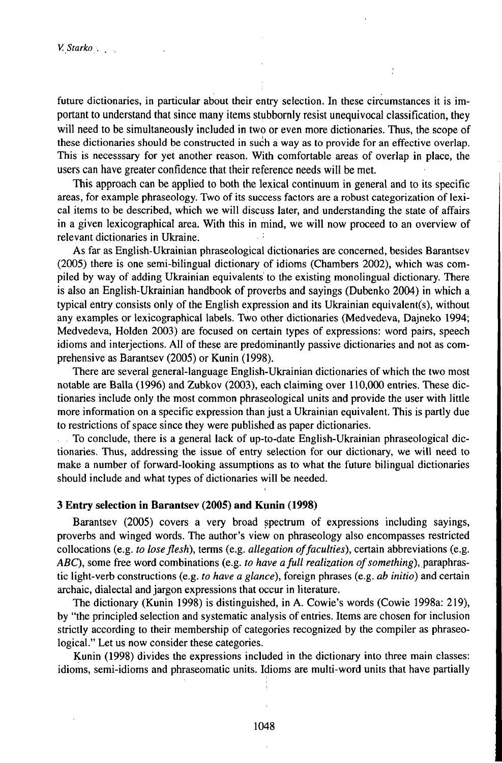future dictionaries, in particular about their entry selection. In these circumstances it is important to understand that since many items stubbornly resist unequivocal classification, they will need to be simultaneously included in two or even more dictionaries. Thus, the scope of these dictionaries should be constructed in such a way as to provide for an effective overlap. This is necesssary for yet another reason. With comfortable areas of overlap in place, the users can have greater confidence that their reference needs will be met.

This approach can be applied to both the lexical continuum in general and to its specific areas, for example phraseology. Two of its success factors are a robust categorization of lexical items to be described, which we will discuss later, and understanding the state of affairs in a given lexicographical area. With this in mind, we will now proceed to an overview of relevant dictionaries in Ukraine.

As far as English-Ukrainian phraseological dictionaries are concerned, besides Barantsev (2005) there is one semi-bilingual dictionary of idioms (Chambers 2002), which was compiled by way of adding Ukrainian equivalents to the existing monolingual dictionary. There is also an English-Ukrainian handbook of proverbs and sayings (Dubenko 2004) in which a typical entry consists only of the English expression and its Ukrainian equivalent(s), without any examples or lexicographical labels. Two other dictionaries (Medvedeva, Dajneko 1994; Medvedeva, Holden 2003) are focused on certain types of expressions: word pairs, speech idioms and interjections. All of these are predominantly passive dictionaries and not as comprehensive as Barantsev (2005) or Kunin (1998).

There are several general-language English-Ukrainian dictionaries of which the two most notable are Balla (1996) and Zubkov (2003), each claiming over 110,000 entries. These dictionaries include only the most common phraseological units and provide the user with little more information on a specific expression than just a Ukrainian equivalent. This is partly due to restrictions of space since they were published as paper dictionaries.

To conclude, there is a general lack of up-to-date English-Ukrainian phraseological dictionaries. Thus, addressing the issue of entry selection for our dictionary, we will need to make a number of forward-looking assumptions as to what the future bilingual dictionaries should include and what types of dictionaries will be needed.

## **3 Entry selection in Barantsev (2005) and Kunin (1998)**

Barantsev (2005) covers a very broad spectrum of expressions including sayings, proverbs and winged words. The author's view on phraseology also encompasses restricted collocations (e.g. *to loseflesh),* terms (e.g. *allegation offaculties),* certain abbreviations (e.g. *ABC*), some free word combinations (e.g. *to have a full realization of something*), paraphrastic light-verb constructions (e.g. *to have a glance),* foreign phrases (e.g. *ab initio)* and certain archaic, dialectal and jargon expressions that occur in literature.

The dictionary (Kunin 1998) is distinguished, in A. Cowie's words (Cowie 1998a: 219), by "the principled selection and systematic analysis of entries. Items are chosen for inclusion strictly according to their membership of categories recognized by the compiler as phraseological." Let us now consider these categories.

Kunin (1998) divides the expressions included in the dictionary into three main classes: idioms, semi-idioms and phraseomatic units. Idioms are multi-word units that have partially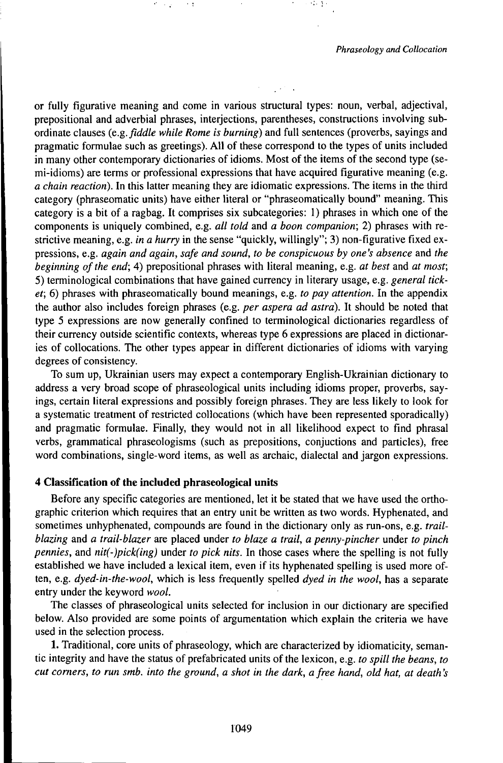or fully figurative meaning and come in various structural types: noun, verbal, adjectival, prepositional and adverbial phrases, interjections, parentheses, constructions involving subordinate clauses *(e.g.fiddle while Rome is burning)* and full sentences (proverbs, sayings and pragmatic formulae such as greetings). All of these correspond to the types of units included in many other contemporary dictionaries of idioms. Most of the items of the second type (semi-idioms) are terms or professional expressions that have acquired figurative meaning (e.g. *a chain reaction).* In this latter meaning they are idiomatic expressions. The items in the third category (phraseomatic units) have either literal or "phraseomatically bound" meaning. This category is a bit of a ragbag. It comprises six subcategories: 1) phrases in which one of the components is uniquely combined, e.g. *all told* and *a boon companion; 2)* phrases with restrictive meaning, e.g. *in a hurry* in the sense "quickly, willingly"; 3) non-figurative fixed expressions, e.g. *again and again, safe and sound, to be conspicuous by one's absence* and *the beginning ofthe end;* 4) prepositional phrases with literal meaning, e.g. *at best* and *at most;* 5) terminological combinations that have gained currency in literary usage, e.g. *general ticket;* 6) phrases with phraseomatically bound meanings, e.g. *to pay attention.* In the appendix the author also includes foreign phrases (e.g. *per aspera ad astra).* It should be noted that type 5 expressions are now generally confined to terminological dictionaries regardless of their currency outside scientific contexts, whereas type 6 expressions are placed in dictionaries of collocations. The other types appear in different dictionaries of idioms with varying degrees of consistency.

To sum up, Ukrainian users may expect a contemporary English-Ukrainian dictionary to address a very broad scope of phraseological units including idioms proper, proverbs, sayings, certain literal expressions and possibly foreign phrases. They are less likely to look for a systematic treatment of restricted collocations (which have been represented sporadically) and pragmatic formulae. Finally, they would not in all likelihood expect to find phrasal verbs, grammatical phraseologisms (such as prepositions, conjuctions and particles), free word combinations, single-word items, as well as archaic, dialectal and jargon expressions.

## **4 Classification of the included phraseological units**

Before any specific categories are mentioned, let it be stated that we have used the orthographic criterion which requires that an entry unit be written as two words. Hyphenated, and sometimes unhyphenated, compounds are found in the dictionary only as run-ons, e.g. *trailblazing* and *a trail-blazer* are placed under *to blaze a trail, a penny-pincher* under *to pinch pennies,* and *nit(-)pick(ing)* under *to pick nits.* In those cases where the spelling is not fully established we have included a lexical item, even if its hyphenated spelling is used more often, e.g. *dyed-in-the-wool,* which is less frequently spelled *dyed in the wool,* has a separate entry under the keyword *wool.*

The classes of phraseological units selected for inclusion in our dictionary are specified below. Also provided are some points of argumentation which explain the criteria we have used in the selection process.

1. Traditional, core units of phraseology, which are characterized by idiomaticity, semantic integrity and have the status of prefabricated units of the lexicon, e.g. *to spill the beans, to* cut corners, to run smb. into the ground, a shot in the dark, a free hand, old hat, at death's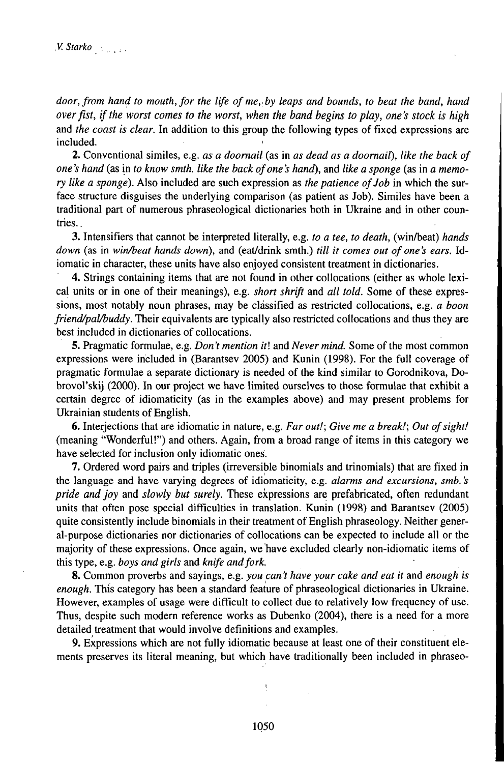*door,from hand to mouth,for the life ofme,.by leaps and bounds, to beat the band, hand overfist, ifthe worst comes to the worst, when the band begins to play, one's stock is high* and *the coast is clear.* In addition to this group the following types of fixed expressions are included.

2. Conventional similes, e.g. *as a doornail* (as in *as dead as a doornail), like the back of one's hand* (as in *to know smth. like the back ofone's hand),* and *like a sponge* (as in *a memory like a sponge*). Also included are such expression as *the patience of Job* in which the surface structure disguises the underlying comparison (as patient as Job). Similes have been a traditional part of numerous phraseological dictionaries both in Ukraine and in other countries. .

3. Intensifiers that cannot be interpreted literally, e.g. *to a tee, to death,* (winfàeat) *hands down* (as in *win/beat hands down*), and (eat/drink smth.) *till it comes out of one's ears.* Idiomatic in character, these units have also enjoyed consistent treatment in dictionaries.

4. Strings containing items that are not found in other collocations (either as whole lexical units or in one of their meanings), e.g. *short shrift* and *all told.* Some of these expressions, most notably noun phrases, may be classified as restricted collocations, e.g. *a boon friend/paUbuddy.* Their equivalents are typically also restricted collocations and thus they are best included in dictionaries of collocations.

5. Pragmatic formulae, e.g. *Don't mention it\* and *Never mind.* Some ofthe most common expressions were included in (Barantsev 2005) and Kunin (1998). For the full coverage of pragmatic formulae a separate dictionary is needed of the kind similar to Gorodnikova, Dobrovol'skij (2000). In our project we have limited ourselves to those formulae that exhibit a certain degree of idiomaticity (as in the examples above) and may present problems for Ukrainian students of English.

6. Interjections that are idiomatic in nature, e.g. *Far out!; Give me a break!; Out ofsight!* (meaning "Wonderful!") and others. Again, from a broad range of items in this category we have selected for inclusion only idiomatic ones.

7. Ordered word pairs and triples (irreversible binomials and trinomials) that are fixed in the language and have varying degrees of idiomaticity, e.g. *alarms and excursions, smb. 's pride and joy* and *slowly but surely.* These expressions are prefabricated, often redundant units that often pose special difficulties in translation. Kunin (1998) and Barantsev (2005) quite consistently include binomials in their treatment of English phraseology. Neither general-purpose dictionaries nor dictionaries of collocations can be expected to include all or the majority of these expressions. Once again, we have excluded clearly non-idiomatic items of this type, e.g. *boys and girls* and *knife andfork.*

8. Common proverbs and sayings, e.g. *you can 't have your cake and eat it* and *enough is enough.* This category has been a standard feature of phraseological dictionaries in Ukraine. However, examples of usage were difficult to collect due to relatively low frequency of use. Thus, despite such modern reference works as Dubenko (2004), there is a need for a more detailed treatment that would involve definitions and examples.

9. Expressions which are not fully idiomatic because at least one of their constituent elements preserves its literal meaning, but which have traditionally been included in phraseo-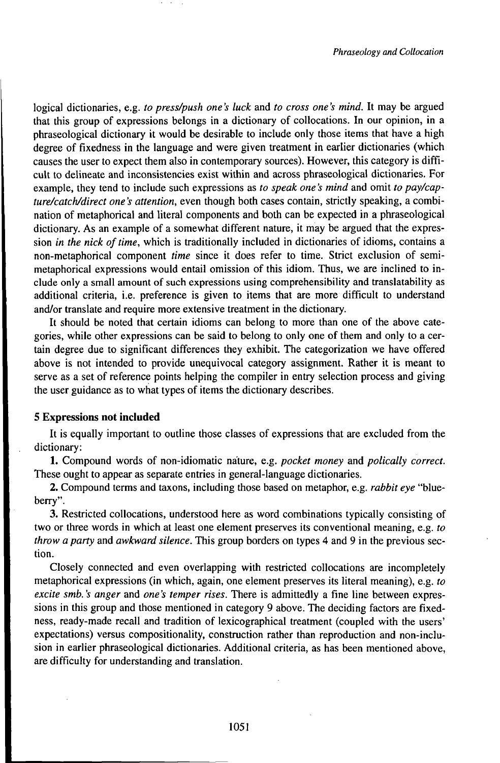logical dictionaries, e.g. *to press/push one's luck* and *to cross one's mind.* It may be argued that this group of expressions belongs in a dictionary of collocations. In our opinion, in a phraseological dictionary it would be desirable to include only those items that have a high degree of fixedness in the language and were given treatment in earlier dictionaries (which causes the user to expect them also in contemporary sources). However, this category is difficult to delineate and inconsistencies exist within and across phraseological dictionaries. For example, they tend to include such expressions as *to speak one 's mind* and omit *to pay/capture/catch/direct one 's attention,* even though both cases contain, strictly speaking, a combination of metaphorical and literal components and both can be expected in a phraseological dictionary. As an example of a somewhat different nature, it may be argued that the expression *in the nick of time*, which is traditionally included in dictionaries of idioms, contains a non-metaphorical component *time* since it does refer to time. Strict exclusion of semimetaphorical expressions would entail omission of this idiom. Thus, we are inclined to include only a small amount of such expressions using comprehensibility and translatability as additional criteria, i.e. preference is given to items that are more difficult to understand and/or translate and require more extensive treatment in the dictionary.

It should be noted that certain idioms can belong to more than one of the above categories, while other expressions can be said to belong to only one of them and only to a certain degree due to significant differences they exhibit. The categorization we have offered above is not intended to provide unequivocal category assignment. Rather it is meant to serve as a set of reference points helping the compiler in entry selection process and giving the user guidance as to what types of items the dictionary describes.

## **5 Expressions not included**

It is equally important to outline those classes of expressions that are excluded from the dictionary:

1. Compound words of non-idiomatic nature, e.g. *pocket money* and *polically correct.* These ought to appear as separate entries in general-language dictionaries.

2. Compound terms and taxons, including those based on metaphor, e.g. *rabbit eye* "blueberry".

3. Restricted collocations, understood here as word combinations typically consisting of two or three words in which at least one element preserves its conventional meaning, e.g. *to throw a party* and *awkward silence.* This group borders on types 4 and 9 in the previous section.

Closely connected and even overlapping with restricted collocations are incompletely metaphorical expressions (in which, again, one element preserves its literal meaning), e.g. *to excite smb. 's anger* and *one 's temper rises.* There is admittedly a fine line between expressions in this group and those mentioned in category 9 above. The deciding factors are fixedness, ready-made recall and tradition of lexicographical treatment (coupled with the users' expectations) versus compositionality, construction rather than reproduction and non-inclusion in earlier phraseological dictionaries. Additional criteria, as has been mentioned above, are difficulty for understanding and translation.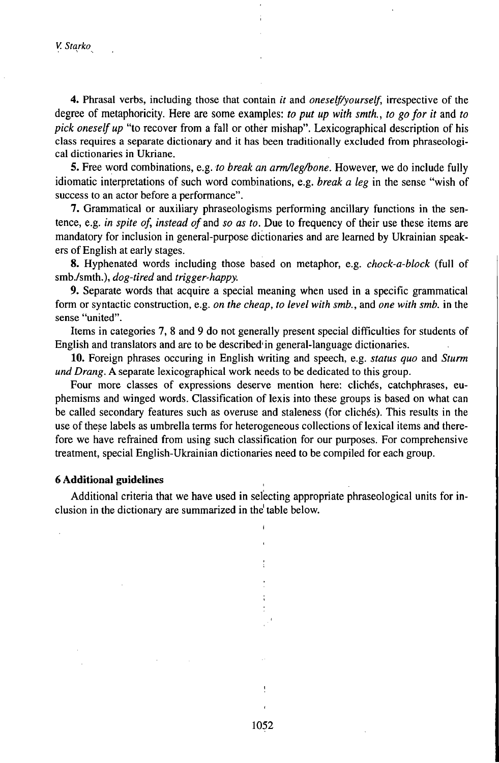*V. Starko*

4. Phrasal verbs, including those that contain *it* and *oneself/yourself,* irrespective of the degree of metaphoricity. Here are some examples: *to put up with smth., to gofor it* and *to pick oneself up* "to recover from a fall or other mishap". Lexicographical description of his class requires a separate dictionary and it has been traditionally excluded from phraseological dictionaries in Ukriane.

5. Free word combinations, e.g. *to break an arm/leg/bone*. However, we do include fully idiomatic interpretations of such word combinations, e.g. *break a leg* in the sense "wish of success to an actor before a performance".

7. Grammatical or auxiliary phraseologisms performing ancillary functions in the sentence, e.g. *in spite of, instead of and so as to.* Due to frequency of their use these items are mandatory for inclusion in general-purpose dictionaries and are learned by Ukrainian speakers of English at early stages.

8. Hyphenated words including those based on metaphor, e.g. *chock-a-block* (full of smb./smth.), *dog-tired* and *trigger-happy.*

9. Separate words that acquire a special meaning when used in a specific grammatical form or syntactic construction, e.g. *on the cheap, to level with smb.,* and *one with smb.* in the sense "united".

Items in categories 7, 8 and 9 do not generally present special difficulties for students of English and translators and are to be described'in general-language dictionaries.

10. Foreign phrases occuring in English writing and speech, e.g. *status quo* and *Sturm und Drang.* A separate lexicographical work needs to be dedicated to this group.

Four more classes of expressions deserve mention here: clichés, catchphrases, euphemisms and winged words. Classification of lexis into these groups is based on what can be called secondary features such as overuse and staleness (for clichés). This results in the use of these labels as umbrella terms for heterogeneous collections of lexical items and therefore we have refrained from using such classification for our purposes. For comprehensive treatment, special English-Ukrainian dictionaries need to be compiled for each group.

#### **6 Additional guidelines**

Additional criteria that we have used in selecting appropriate phraseological units for inclusion in the dictionary are summarized in the table below.

1052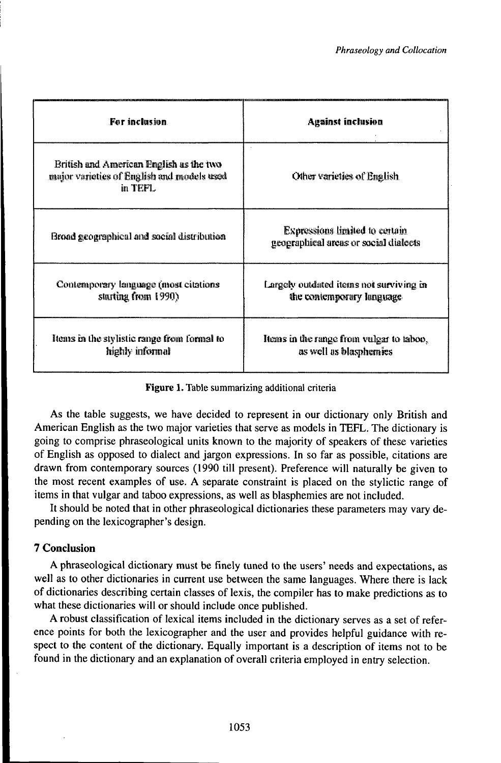| For inclusion                                                                                    | <b>Against inclusion</b>                                                       |
|--------------------------------------------------------------------------------------------------|--------------------------------------------------------------------------------|
| British and American English as the two<br>major varieties of English and models used<br>in TEFL | Other varieties of English                                                     |
| Broad geographical and social distribution                                                       | <b>Expressions limited to certain</b><br>geographical areas or social dialects |
| Contemporary language (most citations<br>sturting from 1990)                                     | Largely outdated items not surviving in<br>the contemporary language.          |
| Items in the stylistic range from formal to<br>highly informal                                   | Items in the range from vulgar to taboo,<br>as well as blasphemics             |

## Figure 1. Table summarizing additional criteria

As the table suggests, we have decided to represent in our dictionary only British and American English as the two major varieties that serve as models in TEFL. The dictionary is going to comprise phraseological units known to the majority of speakers of these varieties of English as opposed to dialect and jargon expressions. In so far as possible, citations are drawn from contemporary sources (1990 till present). Preference will naturally be given to the most recent examples of use. A separate constraint is placed on the stylictic range of items in that vulgar and taboo expressions, as well as blasphemies are not included.

It should be noted that in other phraseological dictionaries these parameters may vary depending on the lexicographer's design.

# 7 Conclusion

A phraseological dictionary must be finely tuned to the users' needs and expectations, as well as to other dictionaries in current use between the same languages. Where there is lack of dictionaries describing certain classes of lexis, the compiler has to make predictions as to what these dictionaries will or should include once published.

A robust classification of lexical items included in the dictionary serves as a set of reference points for both the lexicographer and the user and provides helpful guidance with respect to the content of the dictionary. Equally important is a description of items not to be found in the dictionary and an explanation of overall criteria employed in entry selection.